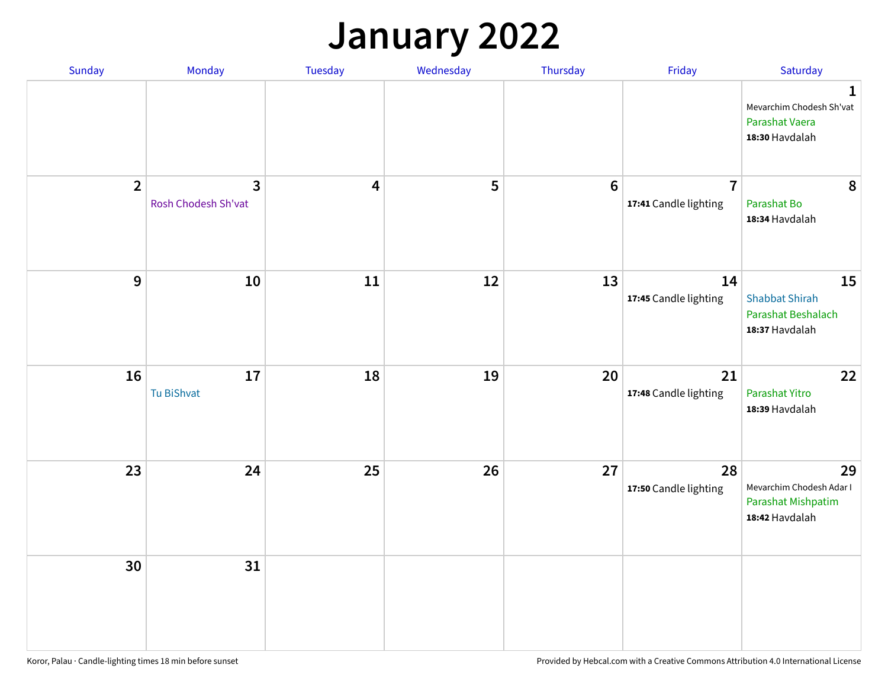#### **January 2022**

| Sunday         | Monday                              | Tuesday                 | Wednesday | Thursday         | Friday                                  | Saturday                                                                     |
|----------------|-------------------------------------|-------------------------|-----------|------------------|-----------------------------------------|------------------------------------------------------------------------------|
|                |                                     |                         |           |                  |                                         | $\mathbf{1}$<br>Mevarchim Chodesh Sh'vat<br>Parashat Vaera<br>18:30 Havdalah |
| $\overline{2}$ | $\mathbf{3}$<br>Rosh Chodesh Sh'vat | $\overline{\mathbf{4}}$ | 5         | $\boldsymbol{6}$ | $\overline{7}$<br>17:41 Candle lighting | 8<br>Parashat Bo<br>18:34 Havdalah                                           |
| $\mathbf{9}$   | 10                                  | 11                      | 12        | 13               | 14<br>17:45 Candle lighting             | 15<br><b>Shabbat Shirah</b><br>Parashat Beshalach<br>18:37 Havdalah          |
| 16             | 17<br>Tu BiShvat                    | 18                      | 19        | 20               | 21<br>17:48 Candle lighting             | 22<br>Parashat Yitro<br>18:39 Havdalah                                       |
| 23             | 24                                  | 25                      | 26        | 27               | 28<br>17:50 Candle lighting             | 29<br>Mevarchim Chodesh Adar I<br>Parashat Mishpatim<br>18:42 Havdalah       |
| 30             | 31                                  |                         |           |                  |                                         |                                                                              |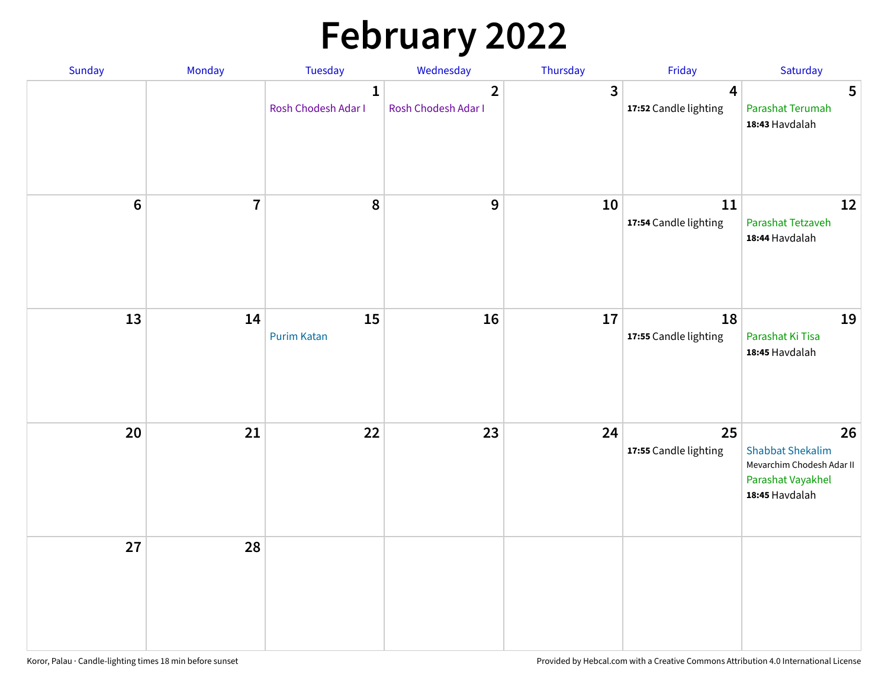# **February 2022**

| Sunday           | Monday         | <b>Tuesday</b>                      | Wednesday                             | Thursday | Friday                                           | Saturday                                                                                          |
|------------------|----------------|-------------------------------------|---------------------------------------|----------|--------------------------------------------------|---------------------------------------------------------------------------------------------------|
|                  |                | $\mathbf{1}$<br>Rosh Chodesh Adar I | $\overline{2}$<br>Rosh Chodesh Adar I | 3        | $\overline{\mathbf{4}}$<br>17:52 Candle lighting | 5<br>Parashat Terumah<br>18:43 Havdalah                                                           |
| $\boldsymbol{6}$ | $\overline{7}$ | 8                                   | $\mathbf 9$                           | 10       | 11<br>17:54 Candle lighting                      | 12<br>Parashat Tetzaveh<br>18:44 Havdalah                                                         |
| 13               | 14             | 15<br><b>Purim Katan</b>            | 16                                    | 17       | 18<br>17:55 Candle lighting                      | 19<br>Parashat Ki Tisa<br>18:45 Havdalah                                                          |
| 20               | 21             | 22                                  | 23                                    | 24       | 25<br>17:55 Candle lighting                      | 26<br><b>Shabbat Shekalim</b><br>Mevarchim Chodesh Adar II<br>Parashat Vayakhel<br>18:45 Havdalah |
| 27               | 28             |                                     |                                       |          |                                                  |                                                                                                   |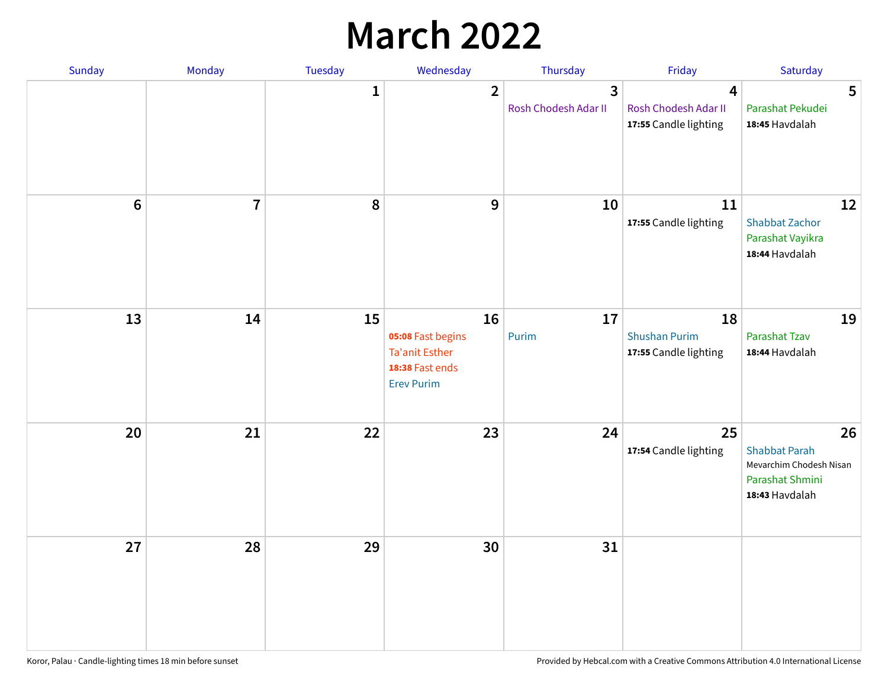## **March 2022**

| Sunday | Monday         | <b>Tuesday</b> | Wednesday                                                                                | Thursday                  | Friday                                                                   | Saturday                                                                                   |
|--------|----------------|----------------|------------------------------------------------------------------------------------------|---------------------------|--------------------------------------------------------------------------|--------------------------------------------------------------------------------------------|
|        |                | $\mathbf{1}$   | $\overline{2}$                                                                           | 3<br>Rosh Chodesh Adar II | $\overline{\mathbf{4}}$<br>Rosh Chodesh Adar II<br>17:55 Candle lighting | 5<br>Parashat Pekudei<br>18:45 Havdalah                                                    |
| $6\,$  | $\overline{7}$ | 8              | 9                                                                                        | 10                        | 11<br>17:55 Candle lighting                                              | 12<br><b>Shabbat Zachor</b><br>Parashat Vayikra<br>18:44 Havdalah                          |
| 13     | 14             | 15             | 16<br>05:08 Fast begins<br><b>Ta'anit Esther</b><br>18:38 Fast ends<br><b>Erev Purim</b> | 17<br>Purim               | 18<br><b>Shushan Purim</b><br>17:55 Candle lighting                      | 19<br><b>Parashat Tzav</b><br>18:44 Havdalah                                               |
| 20     | 21             | 22             | 23                                                                                       | 24                        | 25<br>17:54 Candle lighting                                              | 26<br><b>Shabbat Parah</b><br>Mevarchim Chodesh Nisan<br>Parashat Shmini<br>18:43 Havdalah |
| 27     | 28             | 29             | 30                                                                                       | 31                        |                                                                          |                                                                                            |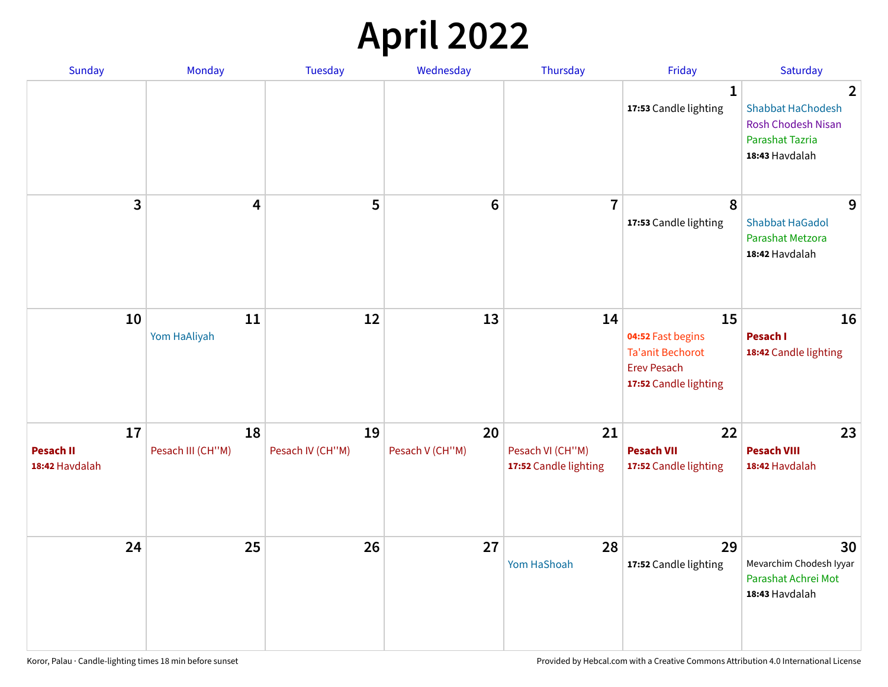## **April 2022**

| <b>Sunday</b>                            | Monday                  | Tuesday                | Wednesday             | Thursday                                        | Friday                                                                                            | Saturday                                                                                                            |
|------------------------------------------|-------------------------|------------------------|-----------------------|-------------------------------------------------|---------------------------------------------------------------------------------------------------|---------------------------------------------------------------------------------------------------------------------|
|                                          |                         |                        |                       |                                                 | 1<br>17:53 Candle lighting                                                                        | $\overline{2}$<br><b>Shabbat HaChodesh</b><br><b>Rosh Chodesh Nisan</b><br><b>Parashat Tazria</b><br>18:43 Havdalah |
| 3                                        | 4                       | 5                      | $6\phantom{1}$        | $\overline{7}$                                  | 8<br>17:53 Candle lighting                                                                        | 9<br><b>Shabbat HaGadol</b><br>Parashat Metzora<br>18:42 Havdalah                                                   |
| 10                                       | 11<br>Yom HaAliyah      | 12                     | 13                    | 14                                              | 15<br>04:52 Fast begins<br><b>Ta'anit Bechorot</b><br><b>Erev Pesach</b><br>17:52 Candle lighting | 16<br>Pesach I<br>18:42 Candle lighting                                                                             |
| 17<br><b>Pesach II</b><br>18:42 Havdalah | 18<br>Pesach III (CH"M) | 19<br>Pesach IV (CH"M) | 20<br>Pesach V (CH"M) | 21<br>Pesach VI (CH"M)<br>17:52 Candle lighting | 22<br><b>Pesach VII</b><br>17:52 Candle lighting                                                  | 23<br><b>Pesach VIII</b><br>18:42 Havdalah                                                                          |
| 24                                       | 25                      | 26                     | 27                    | 28<br>Yom HaShoah                               | 29<br>17:52 Candle lighting                                                                       | 30<br>Mevarchim Chodesh Iyyar<br>Parashat Achrei Mot<br>18:43 Havdalah                                              |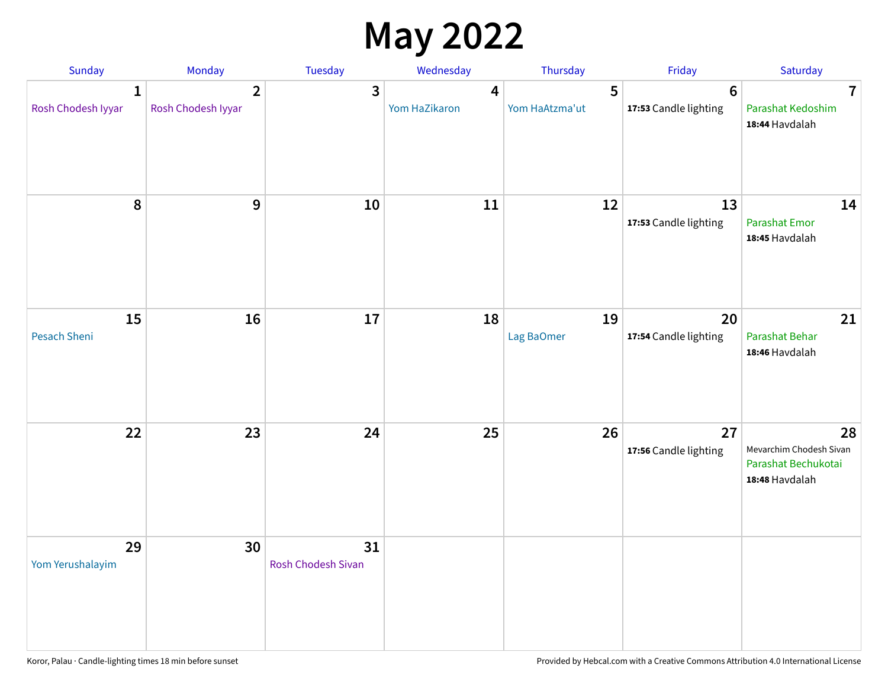## **May 2022**

| <b>Sunday</b>                      | Monday                               | Tuesday                         | Wednesday          | Thursday            | Friday                                   | Saturday                                                               |
|------------------------------------|--------------------------------------|---------------------------------|--------------------|---------------------|------------------------------------------|------------------------------------------------------------------------|
| $\mathbf{1}$<br>Rosh Chodesh Iyyar | $\overline{2}$<br>Rosh Chodesh Iyyar | 3                               | 4<br>Yom HaZikaron | 5<br>Yom HaAtzma'ut | $6\phantom{1}6$<br>17:53 Candle lighting | $\overline{7}$<br>Parashat Kedoshim<br>18:44 Havdalah                  |
| $\pmb{8}$                          | $9$                                  | 10                              | 11                 | 12                  | 13<br>17:53 Candle lighting              | 14<br><b>Parashat Emor</b><br>18:45 Havdalah                           |
| 15<br>Pesach Sheni                 | 16                                   | 17                              | 18                 | 19<br>Lag BaOmer    | 20<br>17:54 Candle lighting              | 21<br>Parashat Behar<br>18:46 Havdalah                                 |
| 22                                 | 23                                   | 24                              | 25                 | 26                  | 27<br>17:56 Candle lighting              | 28<br>Mevarchim Chodesh Sivan<br>Parashat Bechukotai<br>18:48 Havdalah |
| 29<br>Yom Yerushalayim             | 30                                   | 31<br><b>Rosh Chodesh Sivan</b> |                    |                     |                                          |                                                                        |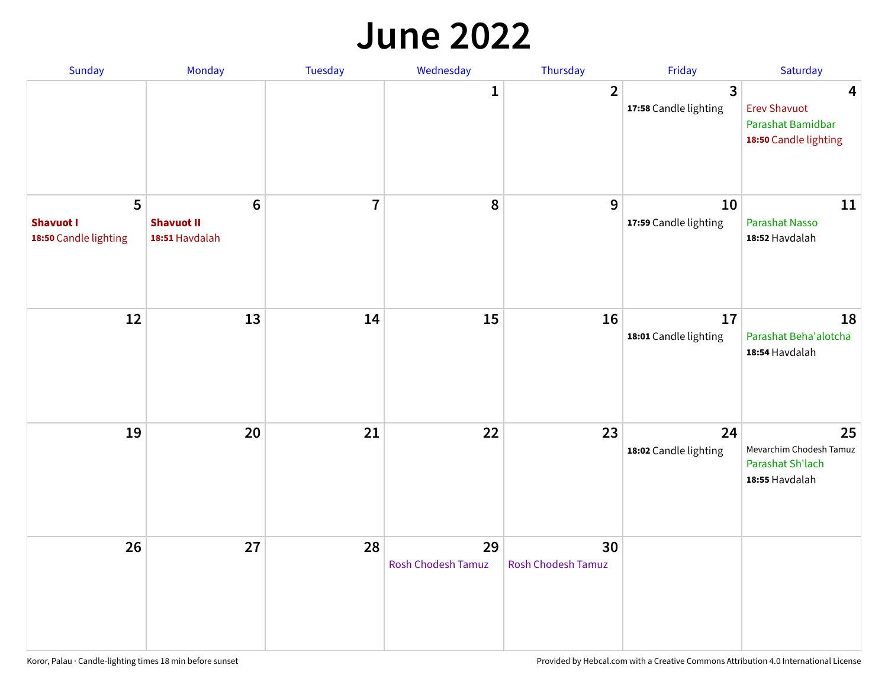#### **June 2022**

| Sunday                                         | Monday                                                | Tuesday        | Wednesday                | Thursday                        | Friday                      | Saturday                                                               |
|------------------------------------------------|-------------------------------------------------------|----------------|--------------------------|---------------------------------|-----------------------------|------------------------------------------------------------------------|
|                                                |                                                       |                | 1                        | $\overline{2}$                  | 3<br>17:58 Candle lighting  | 4<br><b>Erev Shavuot</b><br>Parashat Bamidbar<br>18:50 Candle lighting |
| 5<br><b>Shavuot I</b><br>18:50 Candle lighting | $6\phantom{1}$<br><b>Shavuot II</b><br>18:51 Havdalah | $\overline{7}$ | 8                        | 9                               | 10<br>17:59 Candle lighting | 11<br><b>Parashat Nasso</b><br>18:52 Havdalah                          |
| 12                                             | 13                                                    | 14             | 15                       | 16                              | 17<br>18:01 Candle lighting | 18<br>Parashat Beha'alotcha<br>18:54 Havdalah                          |
| 19                                             | 20                                                    | 21             | 22                       | 23                              | 24<br>18:02 Candle lighting | 25<br>Mevarchim Chodesh Tamuz<br>Parashat Sh'lach<br>18:55 Havdalah    |
| 26                                             | 27                                                    | 28             | 29<br>Rosh Chodesh Tamuz | 30<br><b>Rosh Chodesh Tamuz</b> |                             |                                                                        |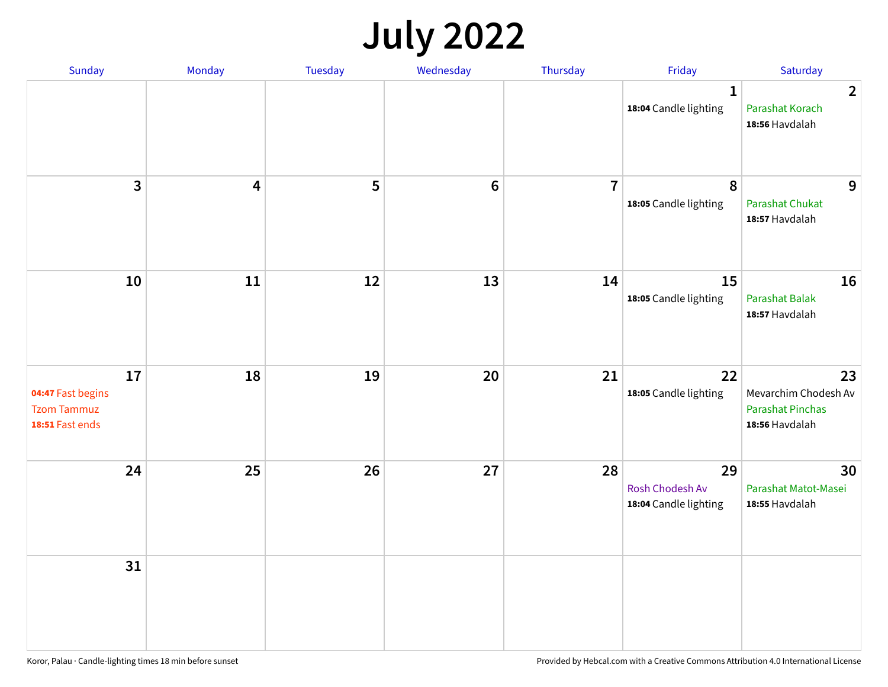## **July 2022**

| Sunday                                                           | Monday     | Tuesday | Wednesday | Thursday       | Friday                                                | Saturday                                                                |
|------------------------------------------------------------------|------------|---------|-----------|----------------|-------------------------------------------------------|-------------------------------------------------------------------------|
|                                                                  |            |         |           |                | $\mathbf{1}$<br>18:04 Candle lighting                 | $\overline{2}$<br>Parashat Korach<br>18:56 Havdalah                     |
| $\overline{\mathbf{3}}$                                          | 4          | 5       | $\bf 6$   | $\overline{7}$ | 8<br>18:05 Candle lighting                            | 9<br><b>Parashat Chukat</b><br>18:57 Havdalah                           |
| 10                                                               | ${\bf 11}$ | 12      | 13        | 14             | 15<br>18:05 Candle lighting                           | 16<br><b>Parashat Balak</b><br>18:57 Havdalah                           |
| 17<br>04:47 Fast begins<br><b>Tzom Tammuz</b><br>18:51 Fast ends | 18         | 19      | 20        | 21             | 22<br>18:05 Candle lighting                           | 23<br>Mevarchim Chodesh Av<br><b>Parashat Pinchas</b><br>18:56 Havdalah |
| 24                                                               | 25         | 26      | 27        | 28             | 29<br><b>Rosh Chodesh Av</b><br>18:04 Candle lighting | 30<br>Parashat Matot-Masei<br>18:55 Havdalah                            |
| 31                                                               |            |         |           |                |                                                       |                                                                         |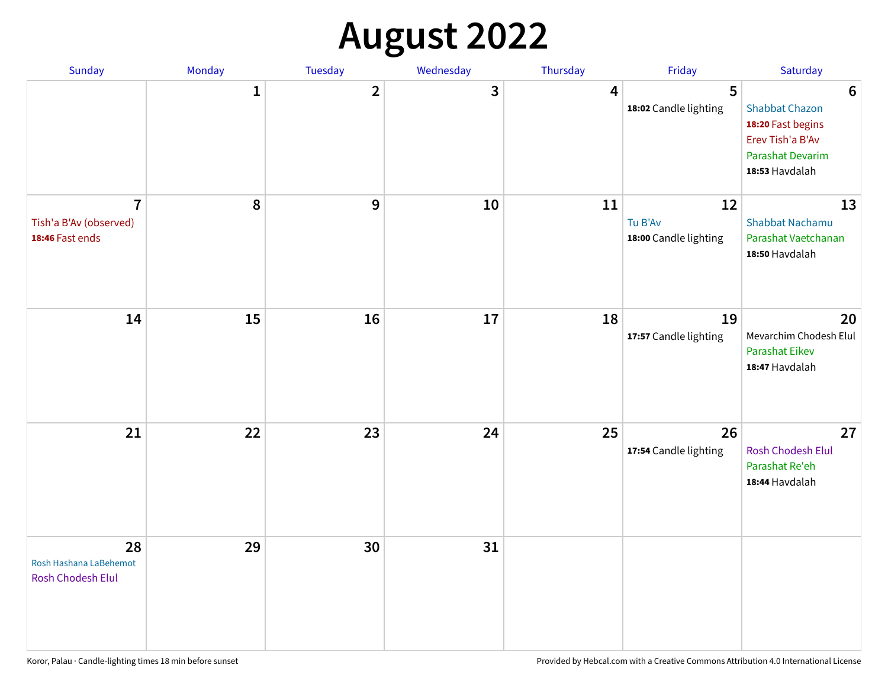## **August 2022**

| Sunday                                                      | Monday       | Tuesday        | Wednesday | Thursday | Friday                                 | Saturday                                                                                                                       |
|-------------------------------------------------------------|--------------|----------------|-----------|----------|----------------------------------------|--------------------------------------------------------------------------------------------------------------------------------|
|                                                             | $\mathbf{1}$ | $\overline{2}$ | 3         | 4        | 5<br>18:02 Candle lighting             | $6\phantom{1}6$<br><b>Shabbat Chazon</b><br>18:20 Fast begins<br>Erev Tish'a B'Av<br><b>Parashat Devarim</b><br>18:53 Havdalah |
| $\overline{7}$<br>Tish'a B'Av (observed)<br>18:46 Fast ends | ${\bf 8}$    | 9              | 10        | 11       | 12<br>Tu B'Av<br>18:00 Candle lighting | 13<br><b>Shabbat Nachamu</b><br>Parashat Vaetchanan<br>18:50 Havdalah                                                          |
| 14                                                          | 15           | 16             | 17        | 18       | 19<br>17:57 Candle lighting            | 20<br>Mevarchim Chodesh Elul<br><b>Parashat Eikev</b><br>18:47 Havdalah                                                        |
| 21                                                          | 22           | 23             | 24        | 25       | 26<br>17:54 Candle lighting            | 27<br><b>Rosh Chodesh Elul</b><br>Parashat Re'eh<br>18:44 Havdalah                                                             |
| 28<br>Rosh Hashana LaBehemot<br>Rosh Chodesh Elul           | 29           | 30             | 31        |          |                                        |                                                                                                                                |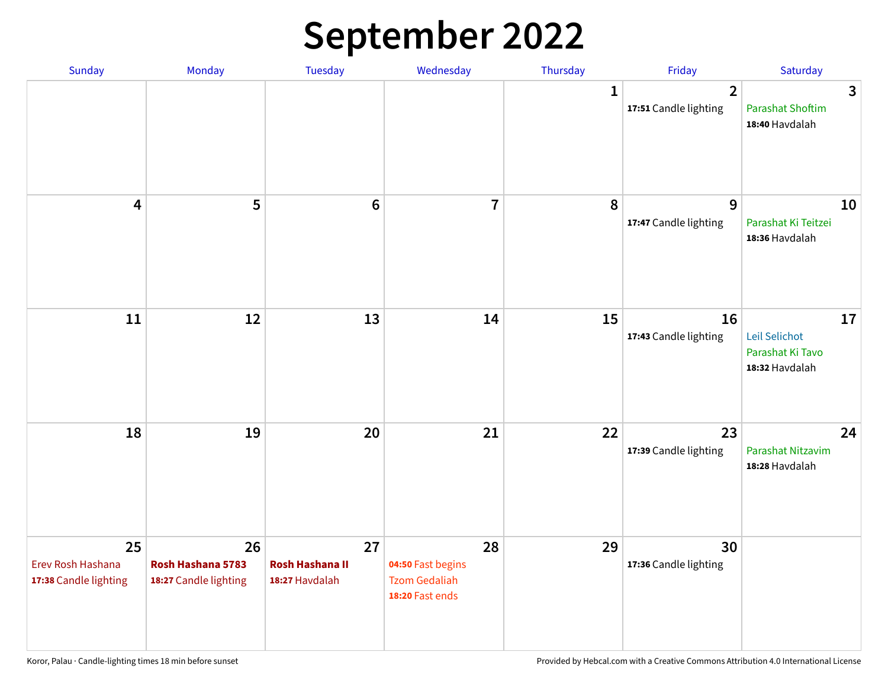## **September 2022**

| Sunday                                           | Monday                                           | Tuesday                                        | Wednesday                                                          | Thursday     | Friday                                  | Saturday                                                  |
|--------------------------------------------------|--------------------------------------------------|------------------------------------------------|--------------------------------------------------------------------|--------------|-----------------------------------------|-----------------------------------------------------------|
|                                                  |                                                  |                                                |                                                                    | $\mathbf{1}$ | $\overline{2}$<br>17:51 Candle lighting | 3<br><b>Parashat Shoftim</b><br>18:40 Havdalah            |
| $\overline{\mathbf{4}}$                          | 5                                                | $6\phantom{1}6$                                | $\overline{7}$                                                     | 8            | $\overline{9}$<br>17:47 Candle lighting | 10<br>Parashat Ki Teitzei<br>18:36 Havdalah               |
| 11                                               | 12                                               | 13                                             | 14                                                                 | 15           | 16<br>17:43 Candle lighting             | 17<br>Leil Selichot<br>Parashat Ki Tavo<br>18:32 Havdalah |
| 18                                               | 19                                               | 20                                             | 21                                                                 | 22           | 23<br>17:39 Candle lighting             | 24<br>Parashat Nitzavim<br>18:28 Havdalah                 |
| 25<br>Erev Rosh Hashana<br>17:38 Candle lighting | 26<br>Rosh Hashana 5783<br>18:27 Candle lighting | 27<br><b>Rosh Hashana II</b><br>18:27 Havdalah | 28<br>04:50 Fast begins<br><b>Tzom Gedaliah</b><br>18:20 Fast ends | 29           | 30<br>17:36 Candle lighting             |                                                           |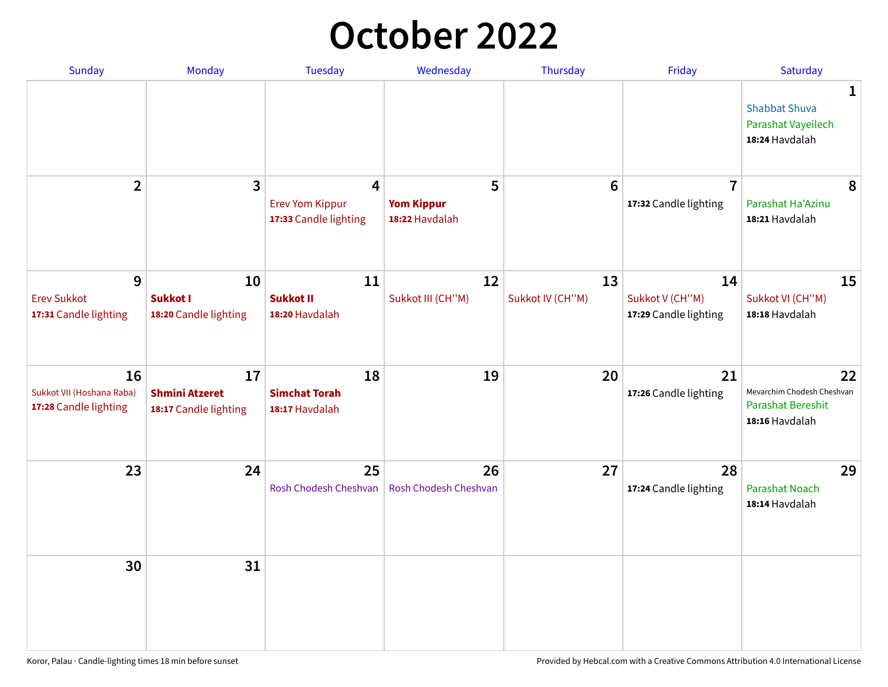## **October 2022**

| Sunday                                                   | Monday                                               | <b>Tuesday</b>                                                    | Wednesday                                | Thursday               | Friday                                         | Saturday                                                                |
|----------------------------------------------------------|------------------------------------------------------|-------------------------------------------------------------------|------------------------------------------|------------------------|------------------------------------------------|-------------------------------------------------------------------------|
|                                                          |                                                      |                                                                   |                                          |                        |                                                | 1<br><b>Shabbat Shuva</b><br>Parashat Vayeilech<br>18:24 Havdalah       |
| $\overline{2}$                                           | $\overline{\mathbf{3}}$                              | $\overline{4}$<br><b>Erev Yom Kippur</b><br>17:33 Candle lighting | 5<br><b>Yom Kippur</b><br>18:22 Havdalah | 6                      | $\overline{7}$<br>17:32 Candle lighting        | 8<br>Parashat Ha'Azinu<br>18:21 Havdalah                                |
| 9<br><b>Erev Sukkot</b><br>17:31 Candle lighting         | 10<br><b>Sukkot I</b><br>18:20 Candle lighting       | 11<br><b>Sukkot II</b><br>18:20 Havdalah                          | 12<br>Sukkot III (CH"M)                  | 13<br>Sukkot IV (CH"M) | 14<br>Sukkot V (CH"M)<br>17:29 Candle lighting | 15<br>Sukkot VI (CH"M)<br>18:18 Havdalah                                |
| 16<br>Sukkot VII (Hoshana Raba)<br>17:28 Candle lighting | 17<br><b>Shmini Atzeret</b><br>18:17 Candle lighting | 18<br><b>Simchat Torah</b><br>18:17 Havdalah                      | 19                                       | 20                     | 21<br>17:26 Candle lighting                    | 22<br>Mevarchim Chodesh Cheshvan<br>Parashat Bereshit<br>18:16 Havdalah |
| 23                                                       | 24                                                   | 25<br>Rosh Chodesh Cheshvan                                       | 26<br>Rosh Chodesh Cheshvan              | 27                     | 28<br>17:24 Candle lighting                    | 29<br><b>Parashat Noach</b><br>18:14 Havdalah                           |
| 30                                                       | 31                                                   |                                                                   |                                          |                        |                                                |                                                                         |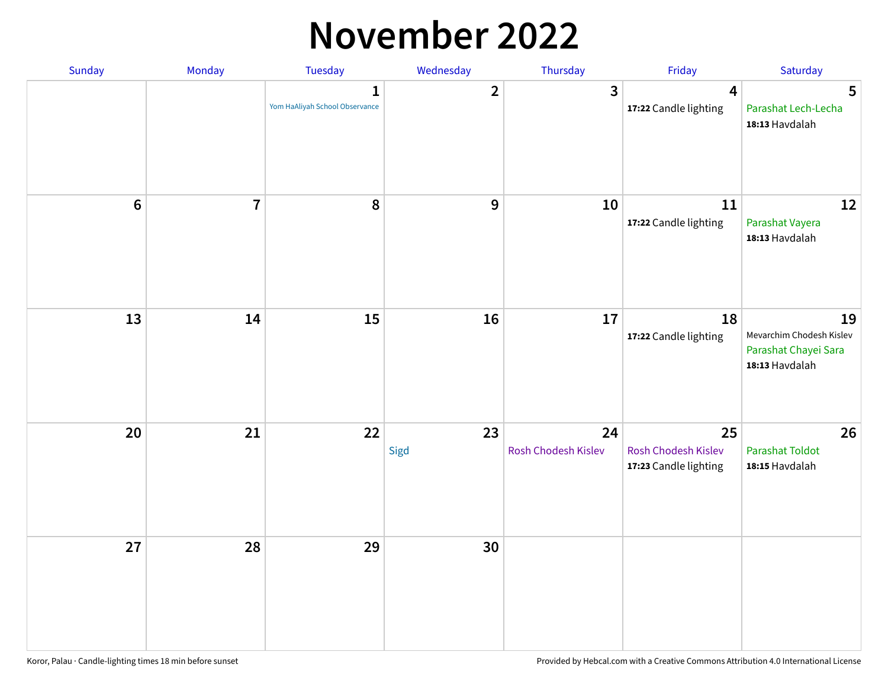#### **November 2022**

| Sunday           | Monday         | Tuesday                             | Wednesday        | Thursday                  | Friday                                             | Saturday                                                                 |
|------------------|----------------|-------------------------------------|------------------|---------------------------|----------------------------------------------------|--------------------------------------------------------------------------|
|                  |                | 1<br>Yom HaAliyah School Observance | $\overline{2}$   | $\overline{\mathbf{3}}$   | $\overline{\mathbf{4}}$<br>17:22 Candle lighting   | 5<br>Parashat Lech-Lecha<br>18:13 Havdalah                               |
| $\boldsymbol{6}$ | $\overline{7}$ | 8                                   | $\boldsymbol{9}$ | 10                        | 11<br>17:22 Candle lighting                        | 12<br>Parashat Vayera<br>18:13 Havdalah                                  |
| 13               | 14             | 15                                  | 16               | 17                        | 18<br>17:22 Candle lighting                        | 19<br>Mevarchim Chodesh Kislev<br>Parashat Chayei Sara<br>18:13 Havdalah |
| 20               | 21             | 22                                  | 23<br>Sigd       | 24<br>Rosh Chodesh Kislev | 25<br>Rosh Chodesh Kislev<br>17:23 Candle lighting | 26<br><b>Parashat Toldot</b><br>18:15 Havdalah                           |
| 27               | 28             | 29                                  | 30               |                           |                                                    |                                                                          |